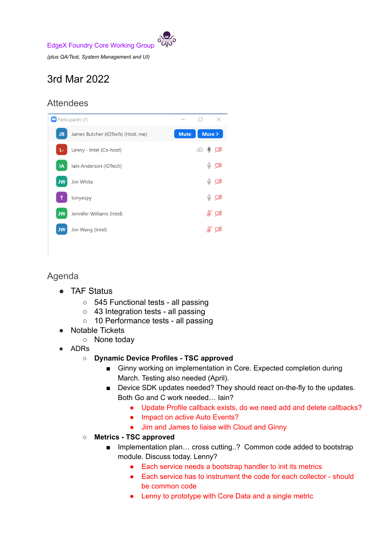

*(plus QA/Test, System Management and UI)*

## 3rd Mar 2022

## **Attendees**

| <sup>1</sup> Participants (7) |                                   |             |                                           | $\times$                  |
|-------------------------------|-----------------------------------|-------------|-------------------------------------------|---------------------------|
| <b>JB</b>                     | James Butcher (IOTech) (Host, me) | <b>Mute</b> | More >                                    |                           |
| L-                            | Lenny - Intel (Co-host)           |             | $\circledcirc$ $\downarrow$ $\varnothing$ |                           |
| IA                            | Iain Anderson (IOTech)            |             |                                           | $\mathbb{Q}$ $\mathbb{Z}$ |
| <b>JW</b>                     | Jim White                         |             |                                           | $\mathbb{Q}$ $\mathbb{Z}$ |
|                               | tonyespy                          |             |                                           | ৡ ই                       |
| <b>JW</b>                     | Jennifer Williams (Intel)         |             |                                           | ∦∑                        |
| <b>JW</b>                     | Jim Wang (Intel)                  |             |                                           |                           |

## Agenda

- TAF Status
	- 545 Functional tests all passing
	- 43 Integration tests all passing
	- 10 Performance tests all passing
- Notable Tickets
	- None today
- ADRs
	- **○ Dynamic Device Profiles - TSC approved**
		- Ginny working on implementation in Core. Expected completion during March. Testing also needed (April).
		- Device SDK updates needed? They should react on-the-fly to the updates. Both Go and C work needed… Iain?
			- Update Profile callback exists, do we need add and delete callbacks?
			- Impact on active Auto Events?
			- Jim and James to liaise with Cloud and Ginny
	- **○ Metrics - TSC approved**
		- Implementation plan... cross cutting..? Common code added to bootstrap module. Discuss today. Lenny?
			- Each service needs a bootstrap handler to init its metrics
			- Each service has to instrument the code for each collector should be common code
			- Lenny to prototype with Core Data and a single metric